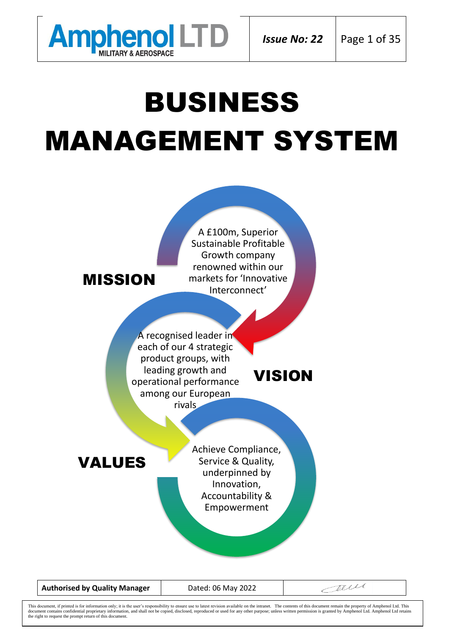

# BUSINESS MANAGEMENT SYSTEM



**Authorised by Quality Manager** | Dated: 06 May 2022

Terre

This document, if printed is for information only; it is the user's responsibility to ensure use to latest revision available on the intranet. The contents of this document remain the property of Amphenol Ltd. This documen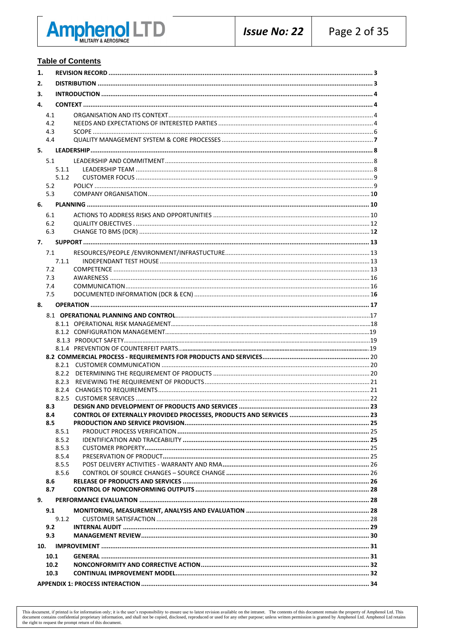

#### **Table of Contents**

| 1.  |              |  |  |  |  |  |
|-----|--------------|--|--|--|--|--|
| 2.  |              |  |  |  |  |  |
| 3.  |              |  |  |  |  |  |
| 4.  |              |  |  |  |  |  |
|     |              |  |  |  |  |  |
|     | 4.1<br>4.2   |  |  |  |  |  |
|     | 4.3          |  |  |  |  |  |
|     | 4.4          |  |  |  |  |  |
| 5.  |              |  |  |  |  |  |
|     |              |  |  |  |  |  |
|     | 5.1          |  |  |  |  |  |
|     | 5.1.1        |  |  |  |  |  |
|     | 5.1.2<br>5.2 |  |  |  |  |  |
|     | 5.3          |  |  |  |  |  |
|     |              |  |  |  |  |  |
| 6.  |              |  |  |  |  |  |
|     | 6.1          |  |  |  |  |  |
|     | 6.2          |  |  |  |  |  |
|     | 6.3          |  |  |  |  |  |
| 7.  |              |  |  |  |  |  |
|     | 7.1          |  |  |  |  |  |
|     | 7.1.1        |  |  |  |  |  |
|     | 7.2          |  |  |  |  |  |
|     | 7.3          |  |  |  |  |  |
|     | 7.4          |  |  |  |  |  |
|     | 7.5          |  |  |  |  |  |
| 8.  |              |  |  |  |  |  |
|     |              |  |  |  |  |  |
|     |              |  |  |  |  |  |
|     |              |  |  |  |  |  |
|     |              |  |  |  |  |  |
|     |              |  |  |  |  |  |
|     |              |  |  |  |  |  |
|     |              |  |  |  |  |  |
|     |              |  |  |  |  |  |
|     |              |  |  |  |  |  |
|     |              |  |  |  |  |  |
|     | 8.3          |  |  |  |  |  |
|     | 8.4          |  |  |  |  |  |
|     | 8.5          |  |  |  |  |  |
|     | 8.5.1        |  |  |  |  |  |
|     | 8.5.2        |  |  |  |  |  |
|     | 8.5.3        |  |  |  |  |  |
|     | 8.5.4        |  |  |  |  |  |
|     | 8.5.5        |  |  |  |  |  |
|     | 8.5.6<br>8.6 |  |  |  |  |  |
|     | 8.7          |  |  |  |  |  |
| 9.  |              |  |  |  |  |  |
|     |              |  |  |  |  |  |
|     | 9.1          |  |  |  |  |  |
|     | 9.1.2        |  |  |  |  |  |
|     | 9.2<br>9.3   |  |  |  |  |  |
|     |              |  |  |  |  |  |
| 10. |              |  |  |  |  |  |
|     | 10.1         |  |  |  |  |  |
|     | 10.2         |  |  |  |  |  |
|     | 10.3         |  |  |  |  |  |
|     |              |  |  |  |  |  |

This document, if printed is for information only; it is the user's responsibility to ensure use to latest revision available on the intranet. The contents of this document centain the property of Amphenol Ltd. This docume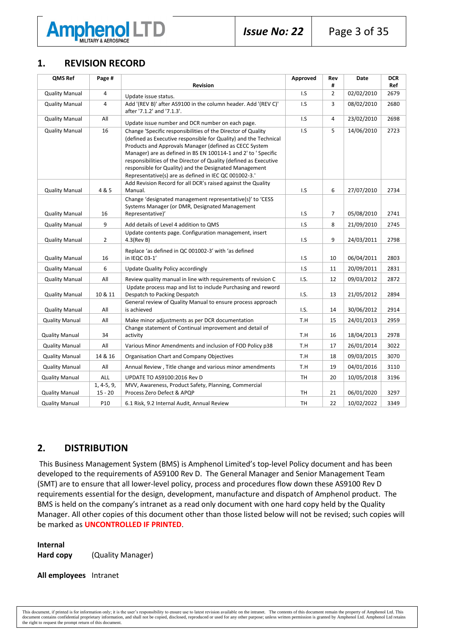

# **1. REVISION RECORD**

| QMS Ref               | Page #                    |                                                                                                                                                                                                                                                                                                                                                                                                                                                      | Approved  | Rev            | <b>Date</b> | <b>DCR</b> |
|-----------------------|---------------------------|------------------------------------------------------------------------------------------------------------------------------------------------------------------------------------------------------------------------------------------------------------------------------------------------------------------------------------------------------------------------------------------------------------------------------------------------------|-----------|----------------|-------------|------------|
|                       |                           | <b>Revision</b>                                                                                                                                                                                                                                                                                                                                                                                                                                      |           | #              |             | Ref        |
| <b>Quality Manual</b> | 4                         | Update issue status.                                                                                                                                                                                                                                                                                                                                                                                                                                 | I.S       | $\overline{2}$ | 02/02/2010  | 2679       |
| <b>Quality Manual</b> | 4                         | Add '(REV B)' after AS9100 in the column header. Add '(REV C)'<br>after '7.1.2' and '7.1.3'.                                                                                                                                                                                                                                                                                                                                                         | I.S       | 3              | 08/02/2010  | 2680       |
| <b>Quality Manual</b> | All                       | Update issue number and DCR number on each page.                                                                                                                                                                                                                                                                                                                                                                                                     | I.S       | 4              | 23/02/2010  | 2698       |
| <b>Quality Manual</b> | 16                        | Change 'Specific responsibilities of the Director of Quality<br>(defined as Executive responsible for Quality) and the Technical<br>Products and Approvals Manager (defined as CECC System<br>Manager) are as defined in BS EN 100114-1 and 2' to ' Specific<br>responsibilities of the Director of Quality (defined as Executive<br>responsible for Quality) and the Designated Management<br>Representative(s) are as defined in IEC QC 001002-3.' | I.S       | 5              | 14/06/2010  | 2723       |
| <b>Quality Manual</b> | 4 & 5                     | Add Revision Record for all DCR's raised against the Quality<br>Manual.                                                                                                                                                                                                                                                                                                                                                                              | I.S       | 6              | 27/07/2010  | 2734       |
| <b>Quality Manual</b> | 16                        | Change 'designated management representative(s)' to 'CESS<br>Systems Manager (or DMR, Designated Management<br>Representative)'                                                                                                                                                                                                                                                                                                                      | I.S       | 7              | 05/08/2010  | 2741       |
| <b>Quality Manual</b> | 9                         | Add details of Level 4 addition to QMS                                                                                                                                                                                                                                                                                                                                                                                                               | I.S       | 8              | 21/09/2010  | 2745       |
| <b>Quality Manual</b> | $\overline{2}$            | Update contents page. Configuration management, insert<br>$4.3$ (Rev B)                                                                                                                                                                                                                                                                                                                                                                              | I.S       | 9              | 24/03/2011  | 2798       |
| <b>Quality Manual</b> | 16                        | Replace 'as defined in QC 001002-3' with 'as defined<br>in IEQC 03-1'                                                                                                                                                                                                                                                                                                                                                                                | I.S       | 10             | 06/04/2011  | 2803       |
| <b>Quality Manual</b> | 6                         | Update Quality Policy accordingly                                                                                                                                                                                                                                                                                                                                                                                                                    | I.S       | 11             | 20/09/2011  | 2831       |
| <b>Quality Manual</b> | All                       | Review quality manual in line with requirements of revision C                                                                                                                                                                                                                                                                                                                                                                                        | I.S.      | 12             | 09/03/2012  | 2872       |
| <b>Quality Manual</b> | 10 & 11                   | Update process map and list to include Purchasing and reword<br>Despatch to Packing Despatch                                                                                                                                                                                                                                                                                                                                                         | 1.S.      | 13             | 21/05/2012  | 2894       |
| <b>Quality Manual</b> | All                       | General review of Quality Manual to ensure process approach<br>is achieved                                                                                                                                                                                                                                                                                                                                                                           | I.S.      | 14             | 30/06/2012  | 2914       |
| <b>Quality Manual</b> | All                       | Make minor adjustments as per DCR documentation                                                                                                                                                                                                                                                                                                                                                                                                      | T.H       | 15             | 24/01/2013  | 2959       |
| <b>Quality Manual</b> | 34                        | Change statement of Continual improvement and detail of<br>activity                                                                                                                                                                                                                                                                                                                                                                                  | T.H       | 16             | 18/04/2013  | 2978       |
| <b>Quality Manual</b> | All                       | Various Minor Amendments and inclusion of FOD Policy p38                                                                                                                                                                                                                                                                                                                                                                                             | T.H       | 17             | 26/01/2014  | 3022       |
| <b>Quality Manual</b> | 14 & 16                   | Organisation Chart and Company Objectives                                                                                                                                                                                                                                                                                                                                                                                                            | T.H       | 18             | 09/03/2015  | 3070       |
| <b>Quality Manual</b> | All                       | Annual Review, Title change and various minor amendments                                                                                                                                                                                                                                                                                                                                                                                             | T.H       | 19             | 04/01/2016  | 3110       |
| <b>Quality Manual</b> | ALL                       | UPDATE TO AS9100:2016 Rev D                                                                                                                                                                                                                                                                                                                                                                                                                          | TH        | 20             | 10/05/2018  | 3196       |
| <b>Quality Manual</b> | $1, 4-5, 9,$<br>$15 - 20$ | MVV, Awareness, Product Safety, Planning, Commercial<br>Process Zero Defect & APQP                                                                                                                                                                                                                                                                                                                                                                   | <b>TH</b> | 21             | 06/01/2020  | 3297       |
| <b>Quality Manual</b> | P10                       | 6.1 Risk, 9.2 Internal Audit, Annual Review                                                                                                                                                                                                                                                                                                                                                                                                          | TH        | 22             | 10/02/2022  | 3349       |

# **2. DISTRIBUTION**

This Business Management System (BMS) is Amphenol Limited's top-level Policy document and has been developed to the requirements of AS9100 Rev D. The General Manager and Senior Management Team (SMT) are to ensure that all lower-level policy, process and procedures flow down these AS9100 Rev D requirements essential for the design, development, manufacture and dispatch of Amphenol product. The BMS is held on the company's intranet as a read only document with one hard copy held by the Quality Manager. All other copies of this document other than those listed below will not be revised; such copies will be marked as **UNCONTROLLED IF PRINTED**.

**Internal Hard copy** (Quality Manager)

**All employees** Intranet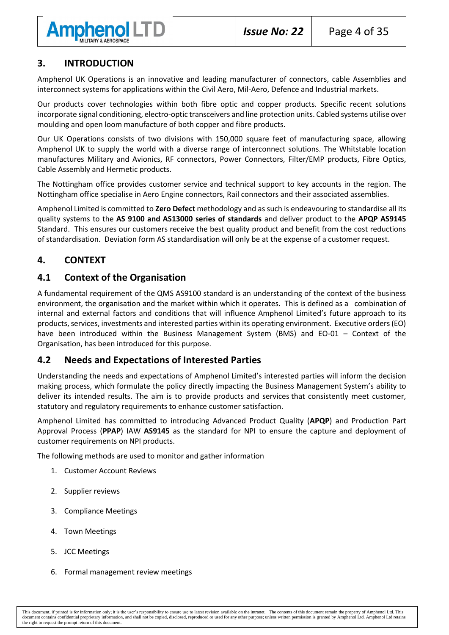

# <span id="page-3-0"></span>**3. INTRODUCTION**

Amphenol UK Operations is an innovative and leading manufacturer of connectors, cable Assemblies and interconnect systems for applications within the Civil Aero, Mil-Aero, Defence and Industrial markets.

Our products cover technologies within both fibre optic and copper products. Specific recent solutions incorporate signal conditioning, electro-optic transceivers and line protection units. Cabled systems utilise over moulding and open loom manufacture of both copper and fibre products.

Our UK Operations consists of two divisions with 150,000 square feet of manufacturing space, allowing Amphenol UK to supply the world with a diverse range of interconnect solutions. The Whitstable location manufactures Military and Avionics, RF connectors, Power Connectors, Filter/EMP products, Fibre Optics, Cable Assembly and Hermetic products.

The Nottingham office provides customer service and technical support to key accounts in the region. The Nottingham office specialise in Aero Engine connectors, Rail connectors and their associated assemblies.

Amphenol Limited is committed to **Zero Defect** methodology and as such is endeavouring to standardise all its quality systems to the **AS 9100 and AS13000 series of standards** and deliver product to the **APQP AS9145** Standard. This ensures our customers receive the best quality product and benefit from the cost reductions of standardisation. Deviation form AS standardisation will only be at the expense of a customer request.

# **4. CONTEXT**

## <span id="page-3-1"></span>**4.1 Context of the Organisation**

A fundamental requirement of the QMS AS9100 standard is an understanding of the context of the business environment, the organisation and the market within which it operates. This is defined as a combination of internal and external factors and conditions that will influence Amphenol Limited's future approach to its products, services, investments and interested parties within its operating environment. Executive orders (EO) have been introduced within the Business Management System (BMS) and EO-01 – Context of the Organisation, has been introduced for this purpose.

## **4.2 Needs and Expectations of Interested Parties**

Understanding the needs and expectations of Amphenol Limited's interested parties will inform the decision making process, which formulate the policy directly impacting the Business Management System's ability to deliver its intended results. The aim is to provide products and services that consistently meet customer, statutory and regulatory requirements to enhance customer satisfaction.

Amphenol Limited has committed to introducing Advanced Product Quality (**APQP**) and Production Part Approval Process (**PPAP**) IAW **AS9145** as the standard for NPI to ensure the capture and deployment of customer requirements on NPI products.

The following methods are used to monitor and gather information

- 1. Customer Account Reviews
- 2. Supplier reviews
- 3. Compliance Meetings
- 4. Town Meetings
- 5. JCC Meetings
- 6. Formal management review meetings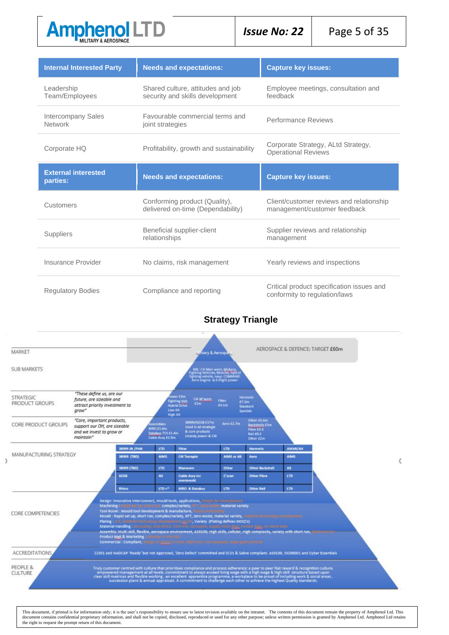

| <b>Internal Interested Party</b>     | <b>Needs and expectations:</b>                                       | <b>Capture key issues:</b>                                               |
|--------------------------------------|----------------------------------------------------------------------|--------------------------------------------------------------------------|
| Leadership<br>Team/Employees         | Shared culture, attitudes and job<br>security and skills development | Employee meetings, consultation and<br>feedback                          |
| Intercompany Sales<br><b>Network</b> | Favourable commercial terms and<br>joint strategies                  | Performance Reviews                                                      |
| Corporate HQ                         | Profitability, growth and sustainability                             | Corporate Strategy, ALtd Strategy,<br><b>Operational Reviews</b>         |
| <b>External interested</b>           | <b>Needs and expectations:</b>                                       | <b>Capture key issues:</b>                                               |
| parties:                             |                                                                      |                                                                          |
| Customers                            | Conforming product (Quality),<br>delivered on-time (Dependability)   | Client/customer reviews and relationship<br>management/customer feedback |
| <b>Suppliers</b>                     | Beneficial supplier-client<br>relationships                          | Supplier reviews and relationship<br>management                          |
| Insurance Provider                   | No claims, risk management                                           | Yearly reviews and inspections                                           |

# **Strategy Triangle**

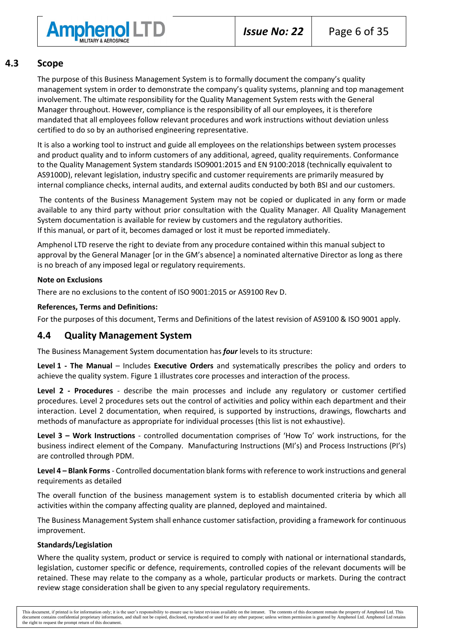

#### **4.3 Scope**

The purpose of this Business Management System is to formally document the company's quality management system in order to demonstrate the company's quality systems, planning and top management involvement. The ultimate responsibility for the Quality Management System rests with the General Manager throughout. However, compliance is the responsibility of all our employees, it is therefore mandated that all employees follow relevant procedures and work instructions without deviation unless certified to do so by an authorised engineering representative.

It is also a working tool to instruct and guide all employees on the relationships between system processes and product quality and to inform customers of any additional, agreed, quality requirements. Conformance to the Quality Management System standards ISO9001:2015 and EN 9100:2018 (technically equivalent to AS9100D), relevant legislation, industry specific and customer requirements are primarily measured by internal compliance checks, internal audits, and external audits conducted by both BSI and our customers.

The contents of the Business Management System may not be copied or duplicated in any form or made available to any third party without prior consultation with the Quality Manager. All Quality Management System documentation is available for review by customers and the regulatory authorities. If this manual, or part of it, becomes damaged or lost it must be reported immediately.

Amphenol LTD reserve the right to deviate from any procedure contained within this manual subject to approval by the General Manager [or in the GM's absence] a nominated alternative Director as long as there is no breach of any imposed legal or regulatory requirements.

#### **Note on Exclusions**

There are no exclusions to the content of ISO 9001:2015 or AS9100 Rev D.

#### **References, Terms and Definitions:**

For the purposes of this document, Terms and Definitions of the latest revision of AS9100 & ISO 9001 apply.

## **4.4 Quality Management System**

The Business Management System documentation has *four* levels to its structure:

**Level 1 - The Manual** – Includes **Executive Orders** and systematically prescribes the policy and orders to achieve the quality system. Figure 1 illustrates core processes and interaction of the process.

**Level 2 - Procedures** - describe the main processes and include any regulatory or customer certified procedures. Level 2 procedures sets out the control of activities and policy within each department and their interaction. Level 2 documentation, when required, is supported by instructions, drawings, flowcharts and methods of manufacture as appropriate for individual processes (this list is not exhaustive).

**Level 3 – Work Instructions** - controlled documentation comprises of 'How To' work instructions, for the business indirect element of the Company. Manufacturing Instructions (MI's) and Process Instructions (PI's) are controlled through PDM.

**Level 4 – Blank Forms**- Controlled documentation blank forms with reference to work instructions and general requirements as detailed

The overall function of the business management system is to establish documented criteria by which all activities within the company affecting quality are planned, deployed and maintained.

The Business Management System shall enhance customer satisfaction, providing a framework for continuous improvement.

#### **Standards/Legislation**

Where the quality system, product or service is required to comply with national or international standards, legislation, customer specific or defence, requirements, controlled copies of the relevant documents will be retained. These may relate to the company as a whole, particular products or markets. During the contract review stage consideration shall be given to any special regulatory requirements.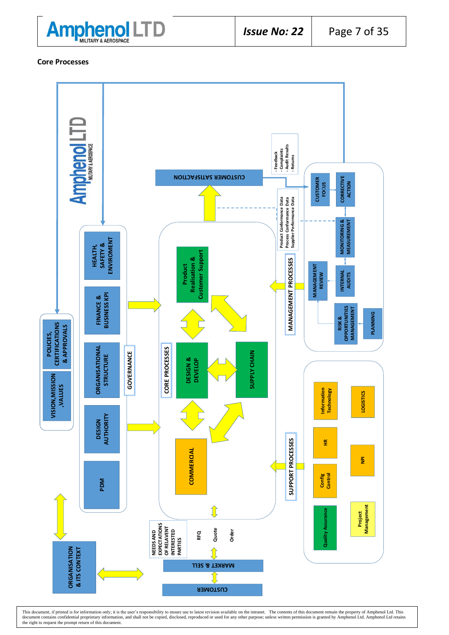

**Core Processes**



This document, if printed is for information only; it is the user's responsibility to ensure use to latest revision available on the intranet. The contents of this document remain the property of Amphenol Ltd. This documen the right to request the prompt return of this document.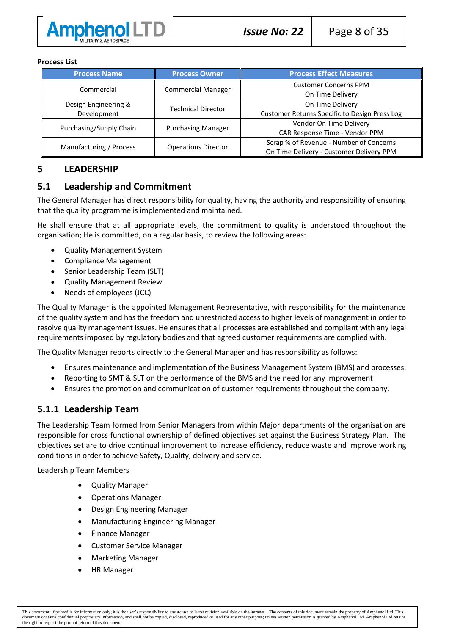

#### **Process List**

| <b>Process Name</b>                 | <b>Process Owner</b>       | <b>Process Effect Measures</b>                                                      |
|-------------------------------------|----------------------------|-------------------------------------------------------------------------------------|
| Commercial                          | <b>Commercial Manager</b>  | <b>Customer Concerns PPM</b><br>On Time Delivery                                    |
| Design Engineering &<br>Development | <b>Technical Director</b>  | On Time Delivery<br>Customer Returns Specific to Design Press Log                   |
| Purchasing/Supply Chain             | <b>Purchasing Manager</b>  | Vendor On Time Delivery<br>CAR Response Time - Vendor PPM                           |
| Manufacturing / Process             | <b>Operations Director</b> | Scrap % of Revenue - Number of Concerns<br>On Time Delivery - Customer Delivery PPM |

#### **5 LEADERSHIP**

#### **5.1 Leadership and Commitment**

The General Manager has direct responsibility for quality, having the authority and responsibility of ensuring that the quality programme is implemented and maintained.

He shall ensure that at all appropriate levels, the commitment to quality is understood throughout the organisation; He is committed, on a regular basis, to review the following areas:

- Quality Management System
- Compliance Management
- Senior Leadership Team (SLT)
- Quality Management Review
- Needs of employees (JCC)

The Quality Manager is the appointed Management Representative, with responsibility for the maintenance of the quality system and has the freedom and unrestricted access to higher levels of management in order to resolve quality management issues. He ensures that all processes are established and compliant with any legal requirements imposed by regulatory bodies and that agreed customer requirements are complied with.

The Quality Manager reports directly to the General Manager and has responsibility as follows:

- Ensures maintenance and implementation of the Business Management System (BMS) and processes.
- Reporting to SMT & SLT on the performance of the BMS and the need for any improvement
- Ensures the promotion and communication of customer requirements throughout the company.

## **5.1.1 Leadership Team**

The Leadership Team formed from Senior Managers from within Major departments of the organisation are responsible for cross functional ownership of defined objectives set against the Business Strategy Plan. The objectives set are to drive continual improvement to increase efficiency, reduce waste and improve working conditions in order to achieve Safety, Quality, delivery and service.

Leadership Team Members

- Quality Manager
- Operations Manager
- Design Engineering Manager
- Manufacturing Engineering Manager
- Finance Manager
- Customer Service Manager
- Marketing Manager
- HR Manager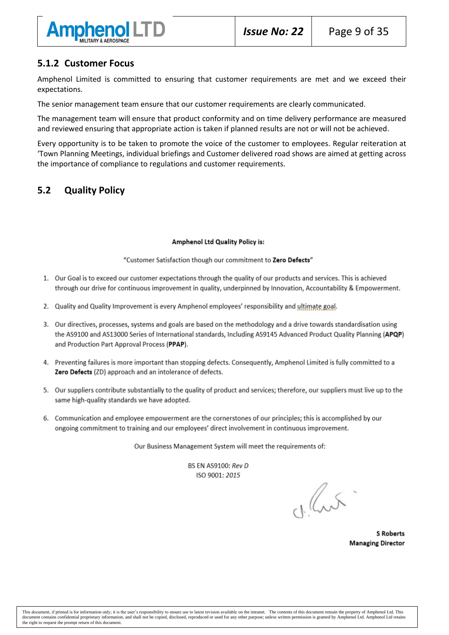

## **5.1.2 Customer Focus**

Amphenol Limited is committed to ensuring that customer requirements are met and we exceed their expectations.

The senior management team ensure that our customer requirements are clearly communicated.

The management team will ensure that product conformity and on time delivery performance are measured and reviewed ensuring that appropriate action is taken if planned results are not or will not be achieved.

Every opportunity is to be taken to promote the voice of the customer to employees. Regular reiteration at 'Town Planning Meetings, individual briefings and Customer delivered road shows are aimed at getting across the importance of compliance to regulations and customer requirements.

# **5.2 Quality Policy**

#### **Amphenol Ltd Quality Policy is:**

"Customer Satisfaction though our commitment to Zero Defects"

- 1. Our Goal is to exceed our customer expectations through the quality of our products and services. This is achieved through our drive for continuous improvement in quality, underpinned by Innovation, Accountability & Empowerment,
- 2. Quality and Quality Improvement is every Amphenol employees' responsibility and ultimate goal.
- 3. Our directives, processes, systems and goals are based on the methodology and a drive towards standardisation using the AS9100 and AS13000 Series of International standards, Including AS9145 Advanced Product Quality Planning (APQP) and Production Part Approval Process (PPAP).
- 4. Preventing failures is more important than stopping defects. Consequently, Amphenol Limited is fully committed to a Zero Defects (ZD) approach and an intolerance of defects.
- 5. Our suppliers contribute substantially to the quality of product and services; therefore, our suppliers must live up to the same high-quality standards we have adopted.
- 6. Communication and employee empowerment are the cornerstones of our principles; this is accomplished by our ongoing commitment to training and our employees' direct involvement in continuous improvement.

Our Business Management System will meet the requirements of:

**BS EN AS9100: Rev D** ISO 9001: 2015

char

**S Roberts Managing Director**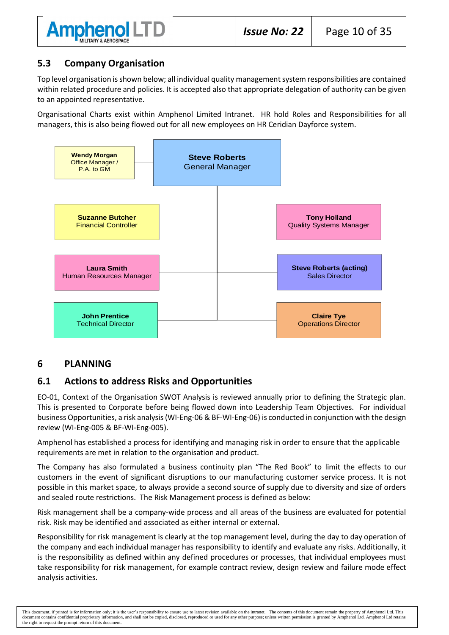

# **5.3 Company Organisation**

Top level organisation is shown below; all individual quality management system responsibilities are contained within related procedure and policies. It is accepted also that appropriate delegation of authority can be given to an appointed representative.

Organisational Charts exist within Amphenol Limited Intranet. HR hold Roles and Responsibilities for all managers, this is also being flowed out for all new employees on HR Ceridian Dayforce system.



# **6 PLANNING**

# **6.1 Actions to address Risks and Opportunities**

EO-01, Context of the Organisation SWOT Analysis is reviewed annually prior to defining the Strategic plan. This is presented to Corporate before being flowed down into Leadership Team Objectives. For individual business Opportunities, a risk analysis (WI-Eng-06 & BF-WI-Eng-06) is conducted in conjunction with the design review (WI-Eng-005 & BF-WI-Eng-005).

Amphenol has established a process for identifying and managing risk in order to ensure that the applicable requirements are met in relation to the organisation and product.

The Company has also formulated a business continuity plan "The Red Book" to limit the effects to our customers in the event of significant disruptions to our manufacturing customer service process. It is not possible in this market space, to always provide a second source of supply due to diversity and size of orders and sealed route restrictions. The Risk Management process is defined as below:

Risk management shall be a company-wide process and all areas of the business are evaluated for potential risk. Risk may be identified and associated as either internal or external.

Responsibility for risk management is clearly at the top management level, during the day to day operation of the company and each individual manager has responsibility to identify and evaluate any risks. Additionally, it is the responsibility as defined within any defined procedures or processes, that individual employees must take responsibility for risk management, for example contract review, design review and failure mode effect analysis activities.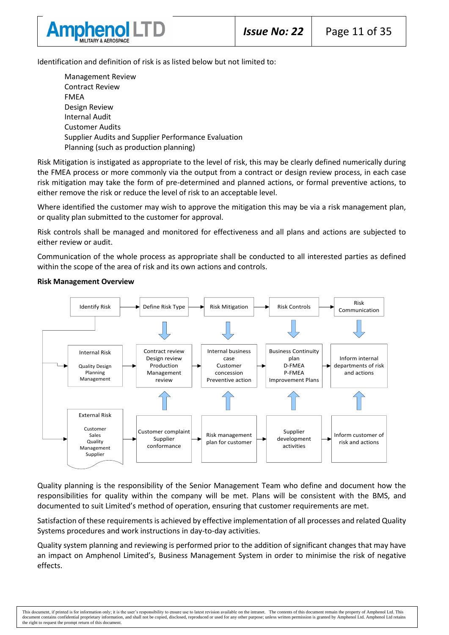

Identification and definition of risk is as listed below but not limited to:

Management Review Contract Review FMEA Design Review Internal Audit Customer Audits Supplier Audits and Supplier Performance Evaluation Planning (such as production planning)

Risk Mitigation is instigated as appropriate to the level of risk, this may be clearly defined numerically during the FMEA process or more commonly via the output from a contract or design review process, in each case risk mitigation may take the form of pre-determined and planned actions, or formal preventive actions, to either remove the risk or reduce the level of risk to an acceptable level.

Where identified the customer may wish to approve the mitigation this may be via a risk management plan. or quality plan submitted to the customer for approval.

Risk controls shall be managed and monitored for effectiveness and all plans and actions are subjected to either review or audit.

Communication of the whole process as appropriate shall be conducted to all interested parties as defined within the scope of the area of risk and its own actions and controls.





Quality planning is the responsibility of the Senior Management Team who define and document how the responsibilities for quality within the company will be met. Plans will be consistent with the BMS, and documented to suit Limited's method of operation, ensuring that customer requirements are met.

Satisfaction of these requirements is achieved by effective implementation of all processes and related Quality Systems procedures and work instructions in day-to-day activities.

Quality system planning and reviewing is performed prior to the addition of significant changes that may have an impact on Amphenol Limited's, Business Management System in order to minimise the risk of negative effects.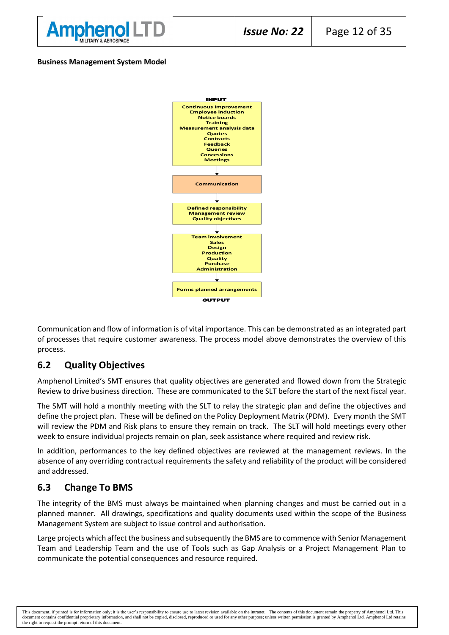

#### **Business Management System Model**



Communication and flow of information is of vital importance. This can be demonstrated as an integrated part of processes that require customer awareness. The process model above demonstrates the overview of this process.

## **6.2 Quality Objectives**

Amphenol Limited's SMT ensures that quality objectives are generated and flowed down from the Strategic Review to drive business direction. These are communicated to the SLT before the start of the next fiscal year.

The SMT will hold a monthly meeting with the SLT to relay the strategic plan and define the objectives and define the project plan. These will be defined on the Policy Deployment Matrix (PDM). Every month the SMT will review the PDM and Risk plans to ensure they remain on track. The SLT will hold meetings every other week to ensure individual projects remain on plan, seek assistance where required and review risk.

In addition, performances to the key defined objectives are reviewed at the management reviews. In the absence of any overriding contractual requirements the safety and reliability of the product will be considered and addressed.

## **6.3 Change To BMS**

The integrity of the BMS must always be maintained when planning changes and must be carried out in a planned manner. All drawings, specifications and quality documents used within the scope of the Business Management System are subject to issue control and authorisation.

Large projects which affect the business and subsequently the BMS are to commence with Senior Management Team and Leadership Team and the use of Tools such as Gap Analysis or a Project Management Plan to communicate the potential consequences and resource required.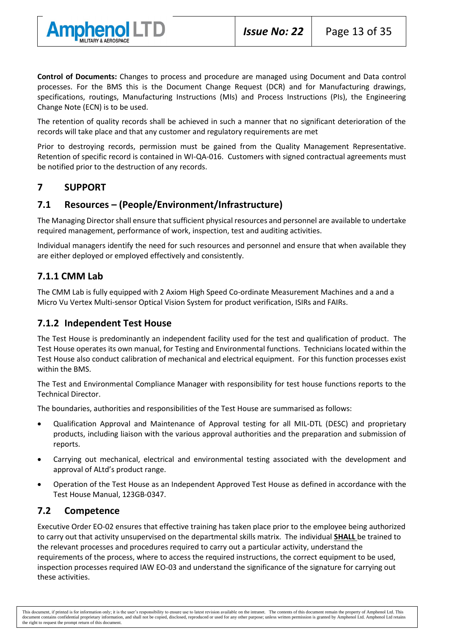



**Control of Documents:** Changes to process and procedure are managed using Document and Data control processes. For the BMS this is the Document Change Request (DCR) and for Manufacturing drawings, specifications, routings, Manufacturing Instructions (MIs) and Process Instructions (PIs), the Engineering Change Note (ECN) is to be used.

The retention of quality records shall be achieved in such a manner that no significant deterioration of the records will take place and that any customer and regulatory requirements are met

Prior to destroying records, permission must be gained from the Quality Management Representative. Retention of specific record is contained in WI-QA-016. Customers with signed contractual agreements must be notified prior to the destruction of any records.

# **7 SUPPORT**

# **7.1 Resources – (People/Environment/Infrastructure)**

The Managing Director shall ensure that sufficient physical resources and personnel are available to undertake required management, performance of work, inspection, test and auditing activities.

Individual managers identify the need for such resources and personnel and ensure that when available they are either deployed or employed effectively and consistently.

# **7.1.1 CMM Lab**

The CMM Lab is fully equipped with 2 Axiom High Speed Co-ordinate Measurement Machines and a and a Micro Vu Vertex Multi-sensor Optical Vision System for product verification, ISIRs and FAIRs.

# **7.1.2 Independent Test House**

The Test House is predominantly an independent facility used for the test and qualification of product. The Test House operates its own manual, for Testing and Environmental functions. Technicians located within the Test House also conduct calibration of mechanical and electrical equipment. For this function processes exist within the BMS.

The Test and Environmental Compliance Manager with responsibility for test house functions reports to the Technical Director.

The boundaries, authorities and responsibilities of the Test House are summarised as follows:

- Qualification Approval and Maintenance of Approval testing for all MIL-DTL (DESC) and proprietary products, including liaison with the various approval authorities and the preparation and submission of reports.
- Carrying out mechanical, electrical and environmental testing associated with the development and approval of ALtd's product range.
- Operation of the Test House as an Independent Approved Test House as defined in accordance with the Test House Manual, 123GB-0347.

## **7.2 Competence**

Executive Order EO-02 ensures that effective training has taken place prior to the employee being authorized to carry out that activity unsupervised on the departmental skills matrix. The individual **SHALL** be trained to the relevant processes and procedures required to carry out a particular activity, understand the requirements of the process, where to access the required instructions, the correct equipment to be used, inspection processes required IAW EO-03 and understand the significance of the signature for carrying out these activities.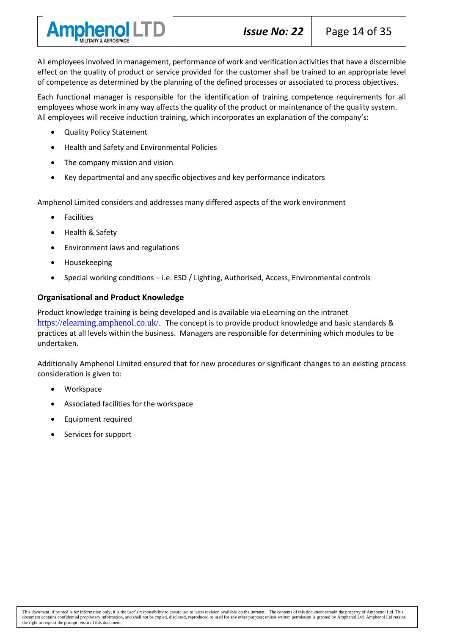

All employees involved in management, performance of work and verification activities that have a discernible effect on the quality of product or service provided for the customer shall be trained to an appropriate level of competence as determined by the planning of the defined processes or associated to process objectives.

Each functional manager is responsible for the identification of training competence requirements for all employees whose work in any way affects the quality of the product or maintenance of the quality system. All employees will receive induction training, which incorporates an explanation of the company's:

- Quality Policy Statement
- Health and Safety and Environmental Policies
- The company mission and vision
- Key departmental and any specific objectives and key performance indicators

Amphenol Limited considers and addresses many differed aspects of the work environment

- Facilities
- Health & Safety
- Environment laws and regulations
- Housekeeping
- Special working conditions i.e. ESD / Lighting, Authorised, Access, Environmental controls

#### **Organisational and Product Knowledge**

Product knowledge training is being developed and is available via eLearning on the intranet [https://elearning.amphenol.co.uk/.](https://gbr01.safelinks.protection.outlook.com/?url=https%3A%2F%2Felearning.amphenol.co.uk%2F&data=04%7C01%7Canthony.holland%40amphenol.co.uk%7C67c3e80567794b15d12608da122d3c1f%7Ca756360683884576be23d691565ca5c5%7C0%7C0%7C637842282732059631%7CUnknown%7CTWFpbGZsb3d8eyJWIjoiMC4wLjAwMDAiLCJQIjoiV2luMzIiLCJBTiI6Ik1haWwiLCJXVCI6Mn0%3D%7C3000&sdata=2L7EuyZRSYBK8CRcLZhEM%2FyxmWZ1ZT%2BcjXd%2BArtGg8w%3D&reserved=0) The concept is to provide product knowledge and basic standards & practices at all levels within the business. Managers are responsible for determining which modules to be undertaken.

Additionally Amphenol Limited ensured that for new procedures or significant changes to an existing process consideration is given to:

- Workspace
- Associated facilities for the workspace
- Equipment required
- Services for support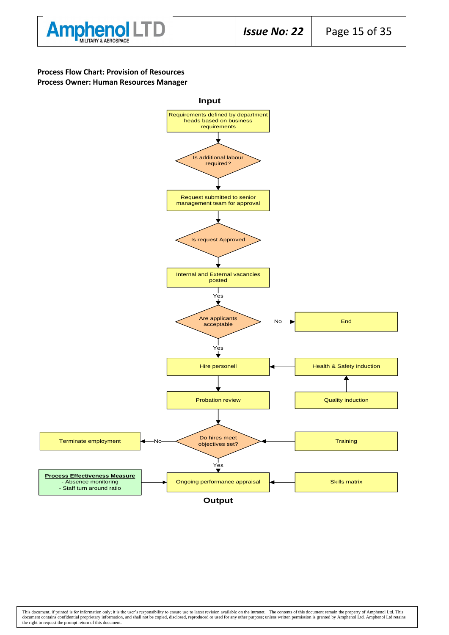

#### **Process Flow Chart: Provision of Resources Process Owner: Human Resources Manager**



This document, if printed is for information only; it is the user's responsibility to ensure use to latest revision available on the intranet. The contents of this document remain the property of Amphenol Ltd. This documen the right to request the prompt return of this document.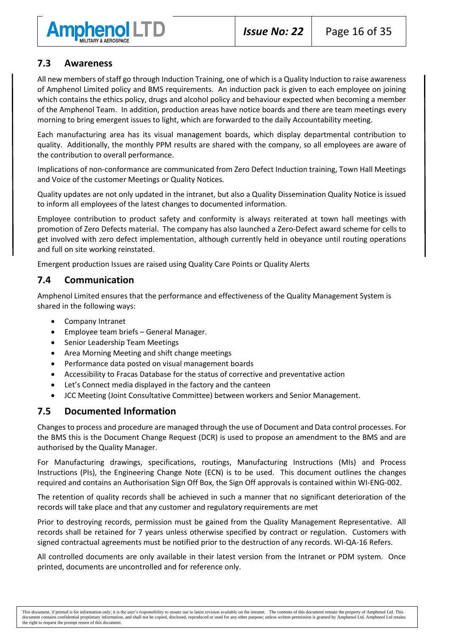

# **7.3 Awareness**

All new members of staff go through Induction Training, one of which is a Quality Induction to raise awareness of Amphenol Limited policy and BMS requirements. An induction pack is given to each employee on joining which contains the ethics policy, drugs and alcohol policy and behaviour expected when becoming a member of the Amphenol Team. In addition, production areas have notice boards and there are team meetings every morning to bring emergent issues to light, which are forwarded to the daily Accountability meeting.

Each manufacturing area has its visual management boards, which display departmental contribution to quality. Additionally, the monthly PPM results are shared with the company, so all employees are aware of the contribution to overall performance.

Implications of non-conformance are communicated from Zero Defect Induction training, Town Hall Meetings and Voice of the customer Meetings or Quality Notices.

Quality updates are not only updated in the intranet, but also a Quality Dissemination Quality Notice is issued to inform all employees of the latest changes to documented information.

Employee contribution to product safety and conformity is always reiterated at town hall meetings with promotion of Zero Defects material. The company has also launched a Zero-Defect award scheme for cells to get involved with zero defect implementation, although currently held in obeyance until routing operations and full on site working reinstated.

Emergent production Issues are raised using Quality Care Points or Quality Alerts

# **7.4 Communication**

Amphenol Limited ensures that the performance and effectiveness of the Quality Management System is shared in the following ways:

- Company Intranet
- Employee team briefs General Manager.
- Senior Leadership Team Meetings
- Area Morning Meeting and shift change meetings
- Performance data posted on visual management boards
- Accessibility to Fracas Database for the status of corrective and preventative action
- Let's Connect media displayed in the factory and the canteen
- JCC Meeting (Joint Consultative Committee) between workers and Senior Management.

## **7.5 Documented Information**

Changes to process and procedure are managed through the use of Document and Data control processes. For the BMS this is the Document Change Request (DCR) is used to propose an amendment to the BMS and are authorised by the Quality Manager.

For Manufacturing drawings, specifications, routings, Manufacturing Instructions (MIs) and Process Instructions (PIs), the Engineering Change Note (ECN) is to be used. This document outlines the changes required and contains an Authorisation Sign Off Box, the Sign Off approvals is contained within WI-ENG-002.

The retention of quality records shall be achieved in such a manner that no significant deterioration of the records will take place and that any customer and regulatory requirements are met

Prior to destroying records, permission must be gained from the Quality Management Representative. All records shall be retained for 7 years unless otherwise specified by contract or regulation. Customers with signed contractual agreements must be notified prior to the destruction of any records. WI-QA-16 Refers.

All controlled documents are only available in their latest version from the Intranet or PDM system. Once printed, documents are uncontrolled and for reference only.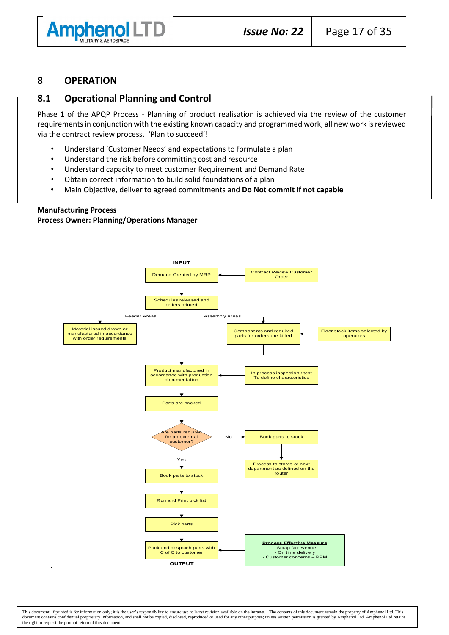

#### **8 OPERATION**

#### **8.1 Operational Planning and Control**

Phase 1 of the APQP Process - Planning of product realisation is achieved via the review of the customer requirements in conjunction with the existing known capacity and programmed work, all new work is reviewed via the contract review process. 'Plan to succeed'!

- Understand 'Customer Needs' and expectations to formulate a plan
- Understand the risk before committing cost and resource
- Understand capacity to meet customer Requirement and Demand Rate
- Obtain correct information to build solid foundations of a plan
- Main Objective, deliver to agreed commitments and **Do Not commit if not capable**

#### **Manufacturing Process**

#### **Process Owner: Planning/Operations Manager**

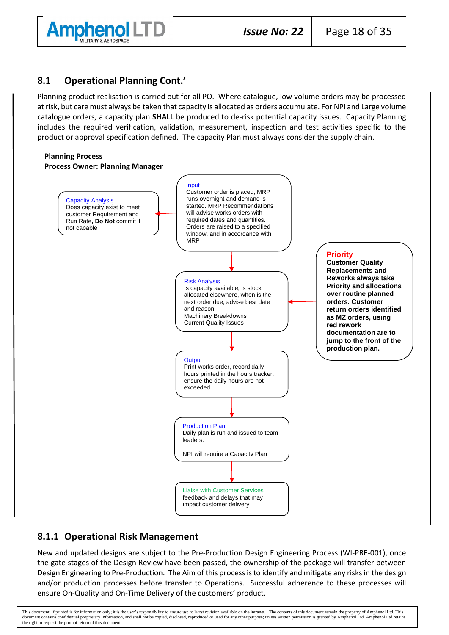

## **8.1 Operational Planning Cont.'**

Planning product realisation is carried out for all PO. Where catalogue, low volume orders may be processed at risk, but care must always be taken that capacity is allocated as orders accumulate. For NPI and Large volume catalogue orders, a capacity plan **SHALL** be produced to de-risk potential capacity issues. Capacity Planning includes the required verification, validation, measurement, inspection and test activities specific to the product or approval specification defined. The capacity Plan must always consider the supply chain.

#### **Planning Process**

#### **Process Owner: Planning Manager**



## **8.1.1 Operational Risk Management**

New and updated designs are subject to the Pre-Production Design Engineering Process (WI-PRE-001), once the gate stages of the Design Review have been passed, the ownership of the package will transfer between Design Engineering to Pre-Production. The Aim of this process is to identify and mitigate any risks in the design and/or production processes before transfer to Operations. Successful adherence to these processes will ensure On-Quality and On-Time Delivery of the customers' product.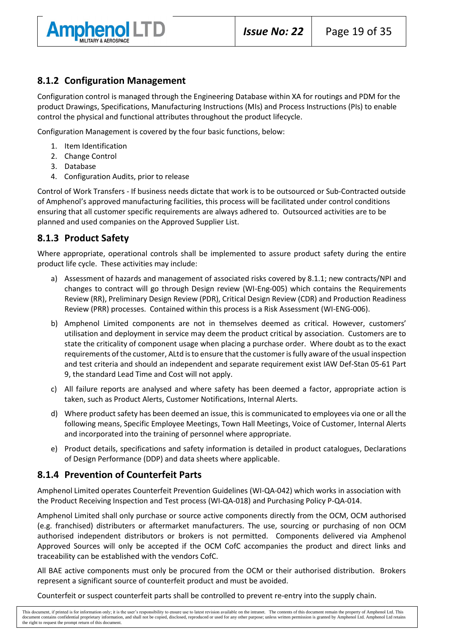

# **8.1.2 Configuration Management**

Configuration control is managed through the Engineering Database within XA for routings and PDM for the product Drawings, Specifications, Manufacturing Instructions (MIs) and Process Instructions (PIs) to enable control the physical and functional attributes throughout the product lifecycle.

Configuration Management is covered by the four basic functions, below:

- 1. Item Identification
- 2. Change Control
- 3. Database
- 4. Configuration Audits, prior to release

Control of Work Transfers - If business needs dictate that work is to be outsourced or Sub-Contracted outside of Amphenol's approved manufacturing facilities, this process will be facilitated under control conditions ensuring that all customer specific requirements are always adhered to. Outsourced activities are to be planned and used companies on the Approved Supplier List.

## **8.1.3 Product Safety**

Where appropriate, operational controls shall be implemented to assure product safety during the entire product life cycle. These activities may include:

- a) Assessment of hazards and management of associated risks covered by 8.1.1; new contracts/NPI and changes to contract will go through Design review (WI-Eng-005) which contains the Requirements Review (RR), Preliminary Design Review (PDR), Critical Design Review (CDR) and Production Readiness Review (PRR) processes. Contained within this process is a Risk Assessment (WI-ENG-006).
- b) Amphenol Limited components are not in themselves deemed as critical. However, customers' utilisation and deployment in service may deem the product critical by association. Customers are to state the criticality of component usage when placing a purchase order. Where doubt as to the exact requirements of the customer, ALtd is to ensure that the customer is fully aware of the usual inspection and test criteria and should an independent and separate requirement exist IAW Def-Stan 05-61 Part 9, the standard Lead Time and Cost will not apply.
- c) All failure reports are analysed and where safety has been deemed a factor, appropriate action is taken, such as Product Alerts, Customer Notifications, Internal Alerts.
- d) Where product safety has been deemed an issue, this is communicated to employees via one or all the following means, Specific Employee Meetings, Town Hall Meetings, Voice of Customer, Internal Alerts and incorporated into the training of personnel where appropriate.
- e) Product details, specifications and safety information is detailed in product catalogues, Declarations of Design Performance (DDP) and data sheets where applicable.

## **8.1.4 Prevention of Counterfeit Parts**

Amphenol Limited operates Counterfeit Prevention Guidelines (WI-QA-042) which works in association with the Product Receiving Inspection and Test process (WI-QA-018) and Purchasing Policy P-QA-014.

Amphenol Limited shall only purchase or source active components directly from the OCM, OCM authorised (e.g. franchised) distributers or aftermarket manufacturers. The use, sourcing or purchasing of non OCM authorised independent distributors or brokers is not permitted. Components delivered via Amphenol Approved Sources will only be accepted if the OCM CofC accompanies the product and direct links and traceability can be established with the vendors CofC.

All BAE active components must only be procured from the OCM or their authorised distribution. Brokers represent a significant source of counterfeit product and must be avoided.

Counterfeit or suspect counterfeit parts shall be controlled to prevent re-entry into the supply chain.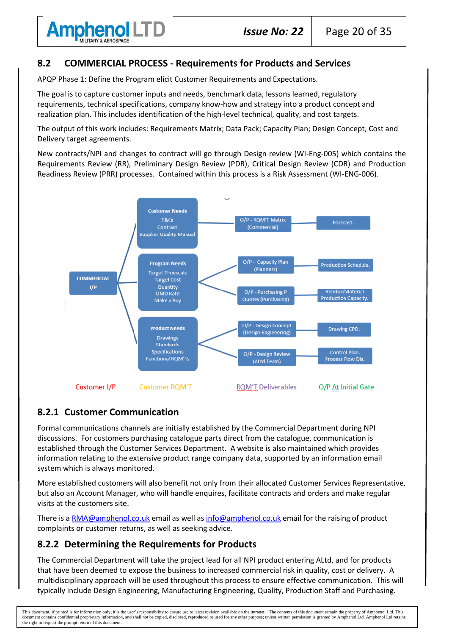

## **8.2 COMMERCIAL PROCESS - Requirements for Products and Services**

APQP Phase 1: Define the Program elicit Customer Requirements and Expectations.

The goal is to capture customer inputs and needs, benchmark data, lessons learned, regulatory requirements, technical specifications, company know-how and strategy into a product concept and realization plan. This includes identification of the high-level technical, quality, and cost targets.

The output of this work includes: Requirements Matrix; Data Pack; Capacity Plan; Design Concept, Cost and Delivery target agreements.

New contracts/NPI and changes to contract will go through Design review (WI-Eng-005) which contains the Requirements Review (RR), Preliminary Design Review (PDR), Critical Design Review (CDR) and Production Readiness Review (PRR) processes. Contained within this process is a Risk Assessment (WI-ENG-006).



# **8.2.1 Customer Communication**

Formal communications channels are initially established by the Commercial Department during NPI discussions. For customers purchasing catalogue parts direct from the catalogue, communication is established through the Customer Services Department. A website is also maintained which provides information relating to the extensive product range company data, supported by an information email system which is always monitored.

More established customers will also benefit not only from their allocated Customer Services Representative, but also an Account Manager, who will handle enquires, facilitate contracts and orders and make regular visits at the customers site.

There is a [RMA@amphenol.co.uk](mailto:RMA@amphenol.co.uk) email as well as [info@amphenol.co.uk](mailto:info@amphenol.co.uk) email for the raising of product complaints or customer returns, as well as seeking advice.

# **8.2.2 Determining the Requirements for Products**

The Commercial Department will take the project lead for all NPI product entering ALtd, and for products that have been deemed to expose the business to increased commercial risk in quality, cost or delivery. A multidisciplinary approach will be used throughout this process to ensure effective communication. This will typically include Design Engineering, Manufacturing Engineering, Quality, Production Staff and Purchasing.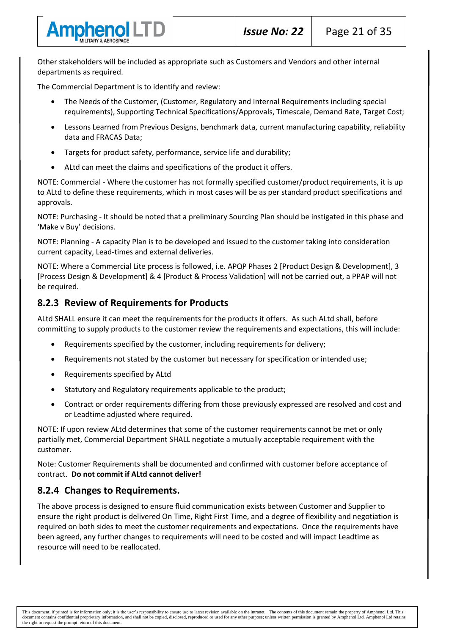

Other stakeholders will be included as appropriate such as Customers and Vendors and other internal departments as required.

The Commercial Department is to identify and review:

- The Needs of the Customer, (Customer, Regulatory and Internal Requirements including special requirements), Supporting Technical Specifications/Approvals, Timescale, Demand Rate, Target Cost;
- Lessons Learned from Previous Designs, benchmark data, current manufacturing capability, reliability data and FRACAS Data;
- Targets for product safety, performance, service life and durability;
- ALtd can meet the claims and specifications of the product it offers.

NOTE: Commercial - Where the customer has not formally specified customer/product requirements, it is up to ALtd to define these requirements, which in most cases will be as per standard product specifications and approvals.

NOTE: Purchasing - It should be noted that a preliminary Sourcing Plan should be instigated in this phase and 'Make v Buy' decisions.

NOTE: Planning - A capacity Plan is to be developed and issued to the customer taking into consideration current capacity, Lead-times and external deliveries.

NOTE: Where a Commercial Lite process is followed, i.e. APQP Phases 2 [Product Design & Development], 3 [Process Design & Development] & 4 [Product & Process Validation] will not be carried out, a PPAP will not be required.

# **8.2.3 Review of Requirements for Products**

ALtd SHALL ensure it can meet the requirements for the products it offers. As such ALtd shall, before committing to supply products to the customer review the requirements and expectations, this will include:

- Requirements specified by the customer, including requirements for delivery;
- Requirements not stated by the customer but necessary for specification or intended use;
- Requirements specified by ALtd
- Statutory and Regulatory requirements applicable to the product;
- Contract or order requirements differing from those previously expressed are resolved and cost and or Leadtime adjusted where required.

NOTE: If upon review ALtd determines that some of the customer requirements cannot be met or only partially met, Commercial Department SHALL negotiate a mutually acceptable requirement with the customer.

Note: Customer Requirements shall be documented and confirmed with customer before acceptance of contract. **Do not commit if ALtd cannot deliver!**

# **8.2.4 Changes to Requirements.**

The above process is designed to ensure fluid communication exists between Customer and Supplier to ensure the right product is delivered On Time, Right First Time, and a degree of flexibility and negotiation is required on both sides to meet the customer requirements and expectations. Once the requirements have been agreed, any further changes to requirements will need to be costed and will impact Leadtime as resource will need to be reallocated.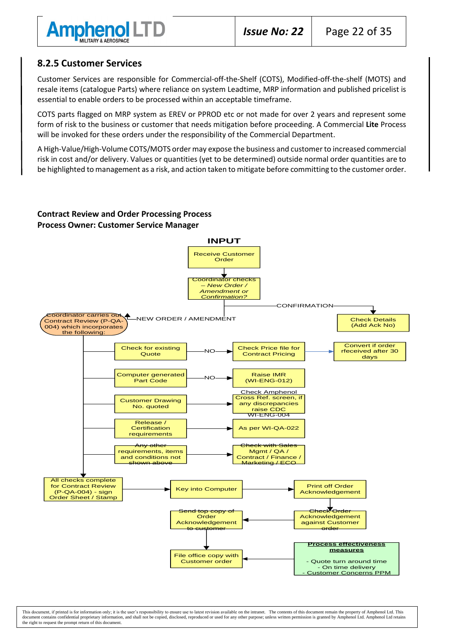

# **8.2.5 Customer Services**

Customer Services are responsible for Commercial-off-the-Shelf (COTS), Modified-off-the-shelf (MOTS) and resale items (catalogue Parts) where reliance on system Leadtime, MRP information and published pricelist is essential to enable orders to be processed within an acceptable timeframe.

COTS parts flagged on MRP system as EREV or PPROD etc or not made for over 2 years and represent some form of risk to the business or customer that needs mitigation before proceeding. A Commercial **Lite** Process will be invoked for these orders under the responsibility of the Commercial Department.

A High-Value/High-Volume COTS/MOTS order may expose the business and customer to increased commercial risk in cost and/or delivery. Values or quantities (yet to be determined) outside normal order quantities are to be highlighted to management as a risk, and action taken to mitigate before committing to the customer order.

#### **Contract Review and Order Processing Process Process Owner: Customer Service Manager**

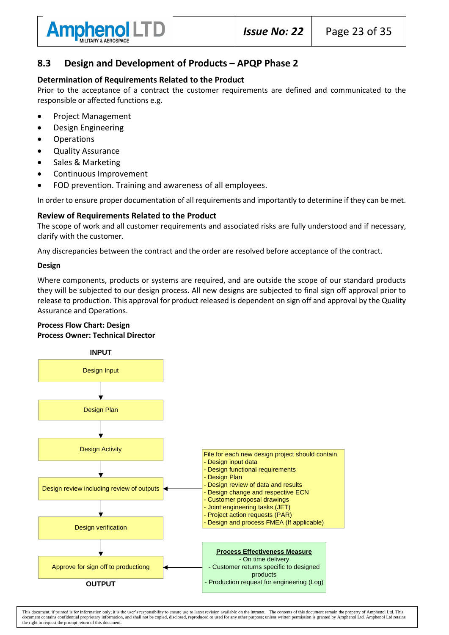

# **8.3 Design and Development of Products – APQP Phase 2**

#### **Determination of Requirements Related to the Product**

Prior to the acceptance of a contract the customer requirements are defined and communicated to the responsible or affected functions e.g.

- Project Management
- Design Engineering
- **Operations**
- Quality Assurance
- Sales & Marketing
- Continuous Improvement
- FOD prevention. Training and awareness of all employees.

In order to ensure proper documentation of all requirements and importantly to determine if they can be met.

#### **Review of Requirements Related to the Product**

The scope of work and all customer requirements and associated risks are fully understood and if necessary, clarify with the customer.

Any discrepancies between the contract and the order are resolved before acceptance of the contract.

#### **Design**

Where components, products or systems are required, and are outside the scope of our standard products they will be subjected to our design process. All new designs are subjected to final sign off approval prior to release to production. This approval for product released is dependent on sign off and approval by the Quality Assurance and Operations.

#### **Process Flow Chart: Design Process Owner: Technical Director**

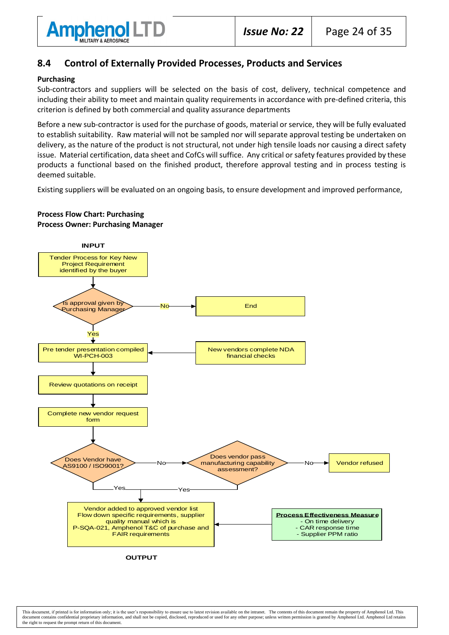

## **8.4 Control of Externally Provided Processes, Products and Services**

#### **Purchasing**

Sub-contractors and suppliers will be selected on the basis of cost, delivery, technical competence and including their ability to meet and maintain quality requirements in accordance with pre-defined criteria, this criterion is defined by both commercial and quality assurance departments

Before a new sub-contractor is used for the purchase of goods, material or service, they will be fully evaluated to establish suitability. Raw material will not be sampled nor will separate approval testing be undertaken on delivery, as the nature of the product is not structural, not under high tensile loads nor causing a direct safety issue. Material certification, data sheet and CofCs will suffice. Any critical or safety features provided by these products a functional based on the finished product, therefore approval testing and in process testing is deemed suitable.

Existing suppliers will be evaluated on an ongoing basis, to ensure development and improved performance,



#### **Process Flow Chart: Purchasing Process Owner: Purchasing Manager**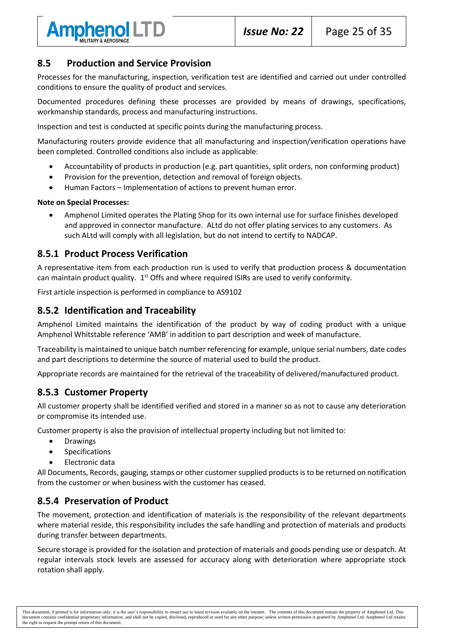

## **8.5 Production and Service Provision**

Processes for the manufacturing, inspection, verification test are identified and carried out under controlled conditions to ensure the quality of product and services.

Documented procedures defining these processes are provided by means of drawings, specifications, workmanship standards, process and manufacturing instructions.

Inspection and test is conducted at specific points during the manufacturing process.

Manufacturing routers provide evidence that all manufacturing and inspection/verification operations have been completed. Controlled conditions also include as applicable:

- Accountability of products in production (e.g. part quantities, split orders, non conforming product)
- Provision for the prevention, detection and removal of foreign objects.
- Human Factors Implementation of actions to prevent human error.

#### **Note on Special Processes:**

• Amphenol Limited operates the Plating Shop for its own internal use for surface finishes developed and approved in connector manufacture. ALtd do not offer plating services to any customers. As such ALtd will comply with all legislation, but do not intend to certify to NADCAP.

#### **8.5.1 Product Process Verification**

A representative item from each production run is used to verify that production process & documentation can maintain product quality.  $1<sup>st</sup>$  Offs and where required ISIRs are used to verify conformity.

First article inspection is performed in compliance to AS9102

## **8.5.2 Identification and Traceability**

Amphenol Limited maintains the identification of the product by way of coding product with a unique Amphenol Whitstable reference 'AMB' in addition to part description and week of manufacture.

Traceability is maintained to unique batch number referencing for example, unique serial numbers, date codes and part descriptions to determine the source of material used to build the product.

Appropriate records are maintained for the retrieval of the traceability of delivered/manufactured product.

# **8.5.3 Customer Property**

All customer property shall be identified verified and stored in a manner so as not to cause any deterioration or compromise its intended use.

Customer property is also the provision of intellectual property including but not limited to:

- Drawings
- Specifications
- Electronic data

All Documents, Records, gauging, stamps or other customer supplied products is to be returned on notification from the customer or when business with the customer has ceased.

## **8.5.4 Preservation of Product**

The movement, protection and identification of materials is the responsibility of the relevant departments where material reside, this responsibility includes the safe handling and protection of materials and products during transfer between departments.

Secure storage is provided for the isolation and protection of materials and goods pending use or despatch. At regular intervals stock levels are assessed for accuracy along with deterioration where appropriate stock rotation shall apply.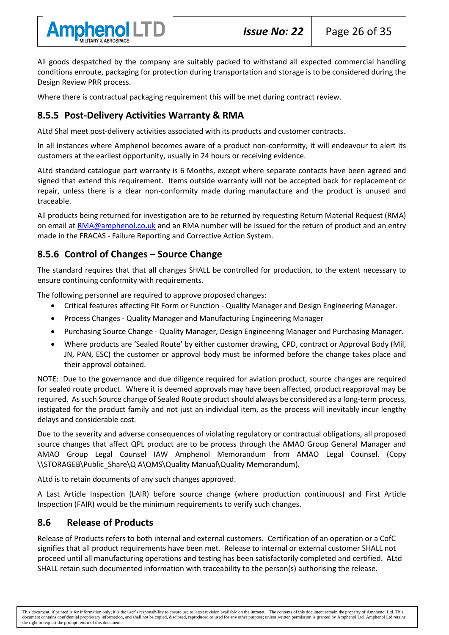

All goods despatched by the company are suitably packed to withstand all expected commercial handling conditions enroute, packaging for protection during transportation and storage is to be considered during the Design Review PRR process.

Where there is contractual packaging requirement this will be met during contract review.

# **8.5.5 Post-Delivery Activities Warranty & RMA**

ALtd Shal meet post-delivery activities associated with its products and customer contracts.

In all instances where Amphenol becomes aware of a product non-conformity, it will endeavour to alert its customers at the earliest opportunity, usually in 24 hours or receiving evidence.

ALtd standard catalogue part warranty is 6 Months, except where separate contacts have been agreed and signed that extend this requirement. Items outside warranty will not be accepted back for replacement or repair, unless there is a clear non-conformity made during manufacture and the product is unused and traceable.

All products being returned for investigation are to be returned by requesting Return Material Request (RMA) on email a[t RMA@amphenol.co.uk](mailto:RMA@amphenol.co.uk) and an RMA number will be issued for the return of product and an entry made in the FRACAS - Failure Reporting and Corrective Action System.

# **8.5.6 Control of Changes – Source Change**

The standard requires that that all changes SHALL be controlled for production, to the extent necessary to ensure continuing conformity with requirements.

The following personnel are required to approve proposed changes:

- Critical features affecting Fit Form or Function Quality Manager and Design Engineering Manager.
- Process Changes Quality Manager and Manufacturing Engineering Manager
- Purchasing Source Change Quality Manager, Design Engineering Manager and Purchasing Manager.
- Where products are 'Sealed Route' by either customer drawing, CPD, contract or Approval Body (Mil, JN, PAN, ESC) the customer or approval body must be informed before the change takes place and their approval obtained.

NOTE: Due to the governance and due diligence required for aviation product, source changes are required for sealed route product. Where it is deemed approvals may have been affected, product reapproval may be required. As such Source change of Sealed Route product should always be considered as a long-term process, instigated for the product family and not just an individual item, as the process will inevitably incur lengthy delays and considerable cost.

Due to the severity and adverse consequences of violating regulatory or contractual obligations, all proposed source changes that affect QPL product are to be process through the AMAO Group General Manager and AMAO Group Legal Counsel IAW Amphenol Memorandum from AMAO Legal Counsel. (Copy \\STORAGEB\Public\_Share\Q A\QMS\Quality Manual\Quality Memorandum).

ALtd is to retain documents of any such changes approved.

A Last Article Inspection (LAIR) before source change (where production continuous) and First Article Inspection (FAIR) would be the minimum requirements to verify such changes.

## **8.6 Release of Products**

Release of Products refers to both internal and external customers. Certification of an operation or a CofC signifies that all product requirements have been met. Release to internal or external customer SHALL not proceed until all manufacturing operations and testing has been satisfactorily completed and certified. ALtd SHALL retain such documented information with traceability to the person(s) authorising the release.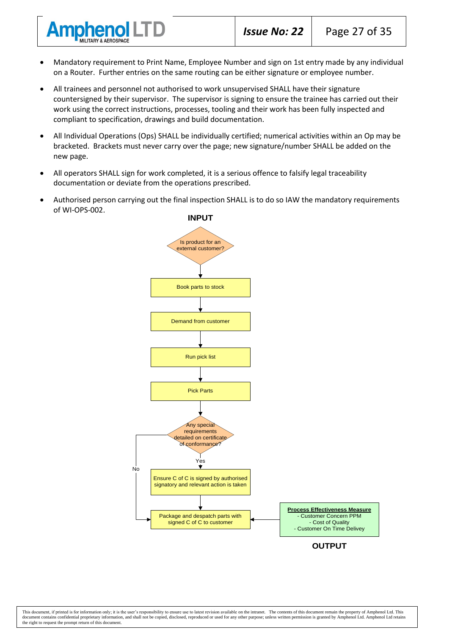• Mandatory requirement to Print Name, Employee Number and sign on 1st entry made by any individual on a Router. Further entries on the same routing can be either signature or employee number.

**Amphenol LTD** 

- All trainees and personnel not authorised to work unsupervised SHALL have their signature countersigned by their supervisor. The supervisor is signing to ensure the trainee has carried out their work using the correct instructions, processes, tooling and their work has been fully inspected and compliant to specification, drawings and build documentation.
- All Individual Operations (Ops) SHALL be individually certified; numerical activities within an Op may be bracketed. Brackets must never carry over the page; new signature/number SHALL be added on the new page.
- All operators SHALL sign for work completed, it is a serious offence to falsify legal traceability documentation or deviate from the operations prescribed.
- Authorised person carrying out the final inspection SHALL is to do so IAW the mandatory requirements of WI-OPS-002.



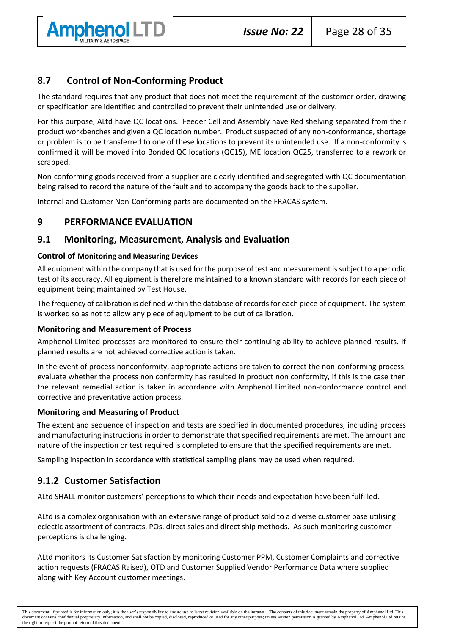

# **8.7 Control of Non-Conforming Product**

The standard requires that any product that does not meet the requirement of the customer order, drawing or specification are identified and controlled to prevent their unintended use or delivery.

For this purpose, ALtd have QC locations. Feeder Cell and Assembly have Red shelving separated from their product workbenches and given a QC location number. Product suspected of any non-conformance, shortage or problem is to be transferred to one of these locations to prevent its unintended use. If a non-conformity is confirmed it will be moved into Bonded QC locations (QC15), ME location QC25, transferred to a rework or scrapped.

Non-conforming goods received from a supplier are clearly identified and segregated with QC documentation being raised to record the nature of the fault and to accompany the goods back to the supplier.

Internal and Customer Non-Conforming parts are documented on the FRACAS system.

#### **9 PERFORMANCE EVALUATION**

#### **9.1 Monitoring, Measurement, Analysis and Evaluation**

#### **Control of Monitoring and Measuring Devices**

All equipment within the company that is used for the purpose of test and measurement is subject to a periodic test of its accuracy. All equipment is therefore maintained to a known standard with records for each piece of equipment being maintained by Test House.

The frequency of calibration is defined within the database of records for each piece of equipment. The system is worked so as not to allow any piece of equipment to be out of calibration.

#### **Monitoring and Measurement of Process**

Amphenol Limited processes are monitored to ensure their continuing ability to achieve planned results. If planned results are not achieved corrective action is taken.

In the event of process nonconformity, appropriate actions are taken to correct the non-conforming process, evaluate whether the process non conformity has resulted in product non conformity, if this is the case then the relevant remedial action is taken in accordance with Amphenol Limited non-conformance control and corrective and preventative action process.

#### **Monitoring and Measuring of Product**

The extent and sequence of inspection and tests are specified in documented procedures, including process and manufacturing instructions in order to demonstrate that specified requirements are met. The amount and nature of the inspection or test required is completed to ensure that the specified requirements are met.

Sampling inspection in accordance with statistical sampling plans may be used when required.

## **9.1.2 Customer Satisfaction**

ALtd SHALL monitor customers' perceptions to which their needs and expectation have been fulfilled.

ALtd is a complex organisation with an extensive range of product sold to a diverse customer base utilising eclectic assortment of contracts, POs, direct sales and direct ship methods. As such monitoring customer perceptions is challenging.

ALtd monitors its Customer Satisfaction by monitoring Customer PPM, Customer Complaints and corrective action requests (FRACAS Raised), OTD and Customer Supplied Vendor Performance Data where supplied along with Key Account customer meetings.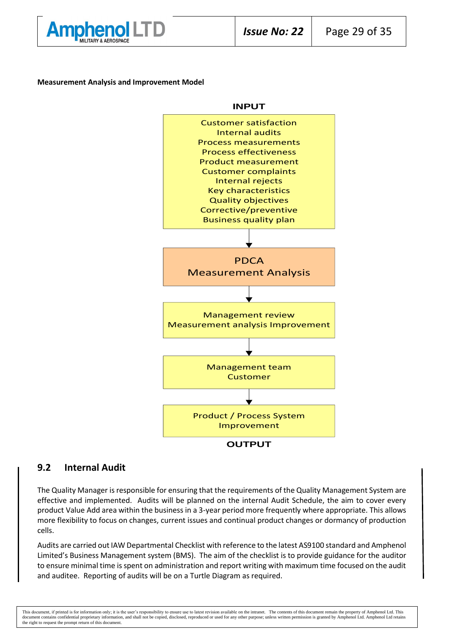

#### **Measurement Analysis and Improvement Model**



#### **9.2 Internal Audit**

The Quality Manager is responsible for ensuring that the requirements of the Quality Management System are effective and implemented. Audits will be planned on the internal Audit Schedule, the aim to cover every product Value Add area within the business in a 3-year period more frequently where appropriate. This allows more flexibility to focus on changes, current issues and continual product changes or dormancy of production cells.

Audits are carried out IAW Departmental Checklist with reference to the latest AS9100 standard and Amphenol Limited's Business Management system (BMS). The aim of the checklist is to provide guidance for the auditor to ensure minimal time is spent on administration and report writing with maximum time focused on the audit and auditee. Reporting of audits will be on a Turtle Diagram as required.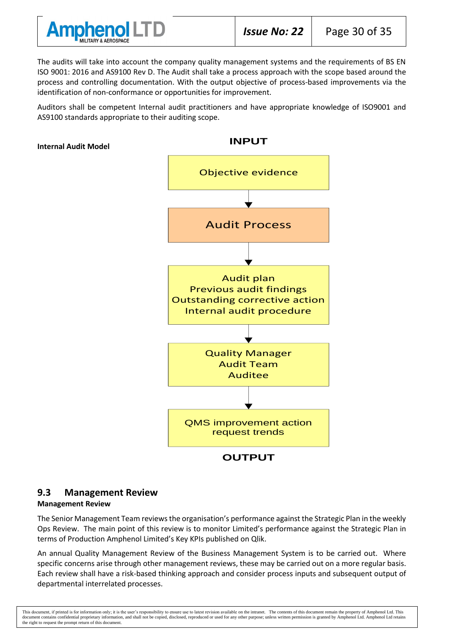

The audits will take into account the company quality management systems and the requirements of BS EN ISO 9001: 2016 and AS9100 Rev D. The Audit shall take a process approach with the scope based around the process and controlling documentation. With the output objective of process-based improvements via the identification of non-conformance or opportunities for improvement.

Auditors shall be competent Internal audit practitioners and have appropriate knowledge of ISO9001 and AS9100 standards appropriate to their auditing scope.

#### **Internal Audit Model**



#### **9.3 Management Review**

#### **Management Review**

The Senior Management Team reviews the organisation's performance against the Strategic Plan in the weekly Ops Review. The main point of this review is to monitor Limited's performance against the Strategic Plan in terms of Production Amphenol Limited's Key KPIs published on Qlik.

An annual Quality Management Review of the Business Management System is to be carried out. Where specific concerns arise through other management reviews, these may be carried out on a more regular basis. Each review shall have a risk-based thinking approach and consider process inputs and subsequent output of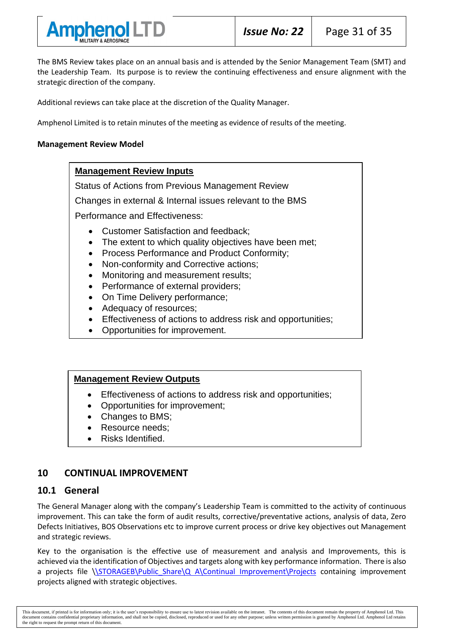

The BMS Review takes place on an annual basis and is attended by the Senior Management Team (SMT) and the Leadership Team. Its purpose is to review the continuing effectiveness and ensure alignment with the strategic direction of the company.

Additional reviews can take place at the discretion of the Quality Manager.

Amphenol Limited is to retain minutes of the meeting as evidence of results of the meeting.

#### **Management Review Model**

#### **Management Review Inputs**

Status of Actions from Previous Management Review

Changes in external & Internal issues relevant to the BMS

Performance and Effectiveness:

- Customer Satisfaction and feedback;
- The extent to which quality objectives have been met;
- Process Performance and Product Conformity;
- Non-conformity and Corrective actions;
- Monitoring and measurement results;
- Performance of external providers;
- On Time Delivery performance;
- Adequacy of resources;
- Effectiveness of actions to address risk and opportunities;
- Opportunities for improvement.

#### **Management Review Outputs**

- Effectiveness of actions to address risk and opportunities;
- Opportunities for improvement;
- Changes to BMS:
- Resource needs:
- Risks Identified.

## **10 CONTINUAL IMPROVEMENT**

#### **10.1 General**

The General Manager along with the company's Leadership Team is committed to the activity of continuous improvement. This can take the form of audit results, corrective/preventative actions, analysis of data, Zero Defects Initiatives, BOS Observations etc to improve current process or drive key objectives out Management and strategic reviews.

Key to the organisation is the effective use of measurement and analysis and Improvements, this is achieved via the identification of Objectives and targets along with key performance information. There is also a projects file [\\STORAGEB\Public\\_Share\Q A\Continual Improvement\Projects](file://///STORAGEB/Public_Share/Q%20A/Continual%20Improvement/Projects) containing improvement projects aligned with strategic objectives.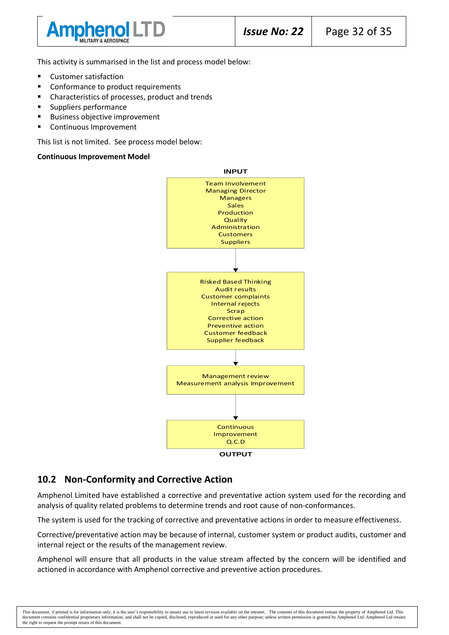

This activity is summarised in the list and process model below:

- Customer satisfaction
- Conformance to product requirements
- Characteristics of processes, product and trends
- Suppliers performance
- **Business objective improvement**
- Continuous Improvement

This list is not limited. See process model below:

#### **Continuous Improvement Model**



#### **10.2 Non-Conformity and Corrective Action**

Amphenol Limited have established a corrective and preventative action system used for the recording and analysis of quality related problems to determine trends and root cause of non-conformances.

The system is used for the tracking of corrective and preventative actions in order to measure effectiveness.

Corrective/preventative action may be because of internal, customer system or product audits, customer and internal reject or the results of the management review.

Amphenol will ensure that all products in the value stream affected by the concern will be identified and actioned in accordance with Amphenol corrective and preventive action procedures.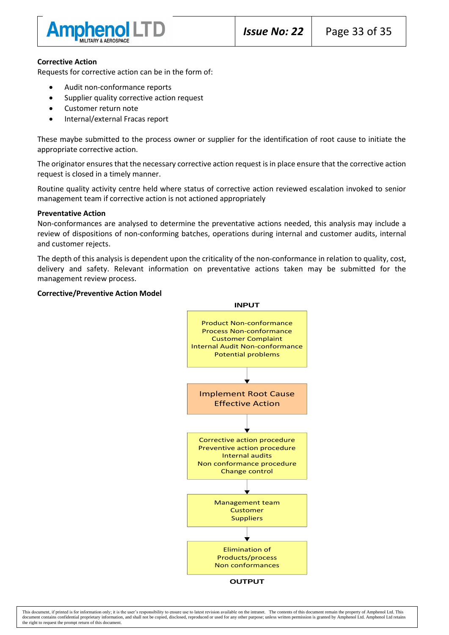

#### **Corrective Action**

Requests for corrective action can be in the form of:

- Audit non-conformance reports
- Supplier quality corrective action request
- Customer return note
- Internal/external Fracas report

These maybe submitted to the process owner or supplier for the identification of root cause to initiate the appropriate corrective action.

The originator ensures that the necessary corrective action request is in place ensure that the corrective action request is closed in a timely manner.

Routine quality activity centre held where status of corrective action reviewed escalation invoked to senior management team if corrective action is not actioned appropriately

#### **Preventative Action**

Non-conformances are analysed to determine the preventative actions needed, this analysis may include a review of dispositions of non-conforming batches, operations during internal and customer audits, internal and customer rejects.

The depth of this analysis is dependent upon the criticality of the non-conformance in relation to quality, cost, delivery and safety. Relevant information on preventative actions taken may be submitted for the management review process.

#### **Corrective/Preventive Action Model**

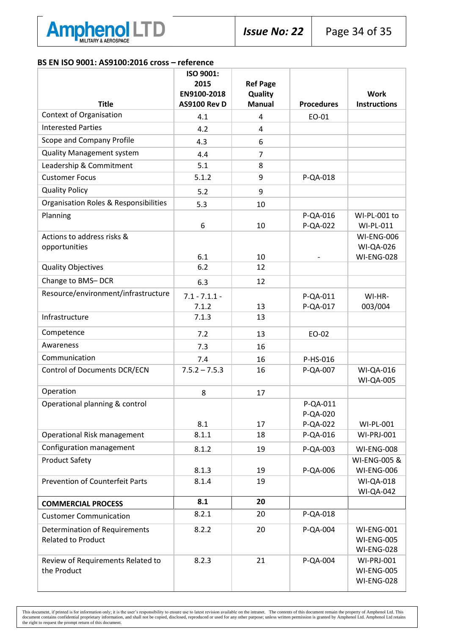

#### **BS EN ISO 9001: AS9100:2016 cross – reference**

|                                                  | ISO 9001:<br>2015   | <b>Ref Page</b> |                      |                                        |
|--------------------------------------------------|---------------------|-----------------|----------------------|----------------------------------------|
|                                                  | EN9100-2018         | Quality         |                      | <b>Work</b>                            |
| <b>Title</b>                                     | <b>AS9100 Rev D</b> | <b>Manual</b>   | <b>Procedures</b>    | <b>Instructions</b>                    |
| <b>Context of Organisation</b>                   | 4.1                 | $\overline{4}$  | EO-01                |                                        |
| <b>Interested Parties</b>                        | 4.2                 | 4               |                      |                                        |
| Scope and Company Profile                        | 4.3                 | 6               |                      |                                        |
| <b>Quality Management system</b>                 | 4.4                 | $\overline{7}$  |                      |                                        |
| Leadership & Commitment                          | 5.1                 | 8               |                      |                                        |
| <b>Customer Focus</b>                            | 5.1.2               | 9               | P-QA-018             |                                        |
| <b>Quality Policy</b>                            | 5.2                 | 9               |                      |                                        |
| <b>Organisation Roles &amp; Responsibilities</b> | 5.3                 | 10              |                      |                                        |
| Planning                                         |                     |                 | P-QA-016             | WI-PL-001 to                           |
|                                                  | 6                   | 10              | P-QA-022             | WI-PL-011                              |
| Actions to address risks &                       |                     |                 |                      | <b>WI-ENG-006</b>                      |
| opportunities                                    | 6.1                 | 10              |                      | <b>WI-QA-026</b><br><b>WI-ENG-028</b>  |
| <b>Quality Objectives</b>                        | 6.2                 | 12              |                      |                                        |
| Change to BMS-DCR                                | 6.3                 | 12              |                      |                                        |
| Resource/environment/infrastructure              | $7.1 - 7.1.1 -$     |                 | P-QA-011             | WI-HR-                                 |
|                                                  | 7.1.2               | 13              | P-QA-017             | 003/004                                |
| Infrastructure                                   | 7.1.3               | 13              |                      |                                        |
| Competence                                       | 7.2                 | 13              | EO-02                |                                        |
| Awareness                                        | 7.3                 | 16              |                      |                                        |
| Communication                                    | 7.4                 | 16              | P-HS-016             |                                        |
| <b>Control of Documents DCR/ECN</b>              | $7.5.2 - 7.5.3$     | 16              | P-QA-007             | <b>WI-QA-016</b>                       |
|                                                  |                     |                 |                      | <b>WI-QA-005</b>                       |
| Operation                                        | 8                   | 17              |                      |                                        |
| Operational planning & control                   |                     |                 | P-QA-011             |                                        |
|                                                  | 8.1                 | 17              | P-QA-020             |                                        |
| Operational Risk management                      | 8.1.1               | 18              | P-QA-022<br>P-QA-016 | <b>WI-PL-001</b><br><b>WI-PRJ-001</b>  |
| Configuration management                         |                     |                 |                      |                                        |
| <b>Product Safety</b>                            | 8.1.2               | 19              | P-QA-003             | <b>WI-ENG-008</b><br>WI-ENG-005 &      |
|                                                  | 8.1.3               | 19              | P-QA-006             | <b>WI-ENG-006</b>                      |
| <b>Prevention of Counterfeit Parts</b>           | 8.1.4               | 19              |                      | <b>WI-QA-018</b>                       |
|                                                  |                     |                 |                      | <b>WI-QA-042</b>                       |
| <b>COMMERCIAL PROCESS</b>                        | 8.1                 | 20              |                      |                                        |
| <b>Customer Communication</b>                    | 8.2.1               | 20              | P-QA-018             |                                        |
| <b>Determination of Requirements</b>             | 8.2.2               | 20              | P-QA-004             | <b>WI-ENG-001</b>                      |
| <b>Related to Product</b>                        |                     |                 |                      | <b>WI-ENG-005</b>                      |
| Review of Requirements Related to                | 8.2.3               | 21              | P-QA-004             | <b>WI-ENG-028</b><br><b>WI-PRJ-001</b> |
| the Product                                      |                     |                 |                      | <b>WI-ENG-005</b>                      |
|                                                  |                     |                 |                      | <b>WI-ENG-028</b>                      |
|                                                  |                     |                 |                      |                                        |

This document, if printed is for information only; it is the user's responsibility to ensure use to latest revision available on the intranet. The contents of this document remain the property of Amphenol Ltd. This documen